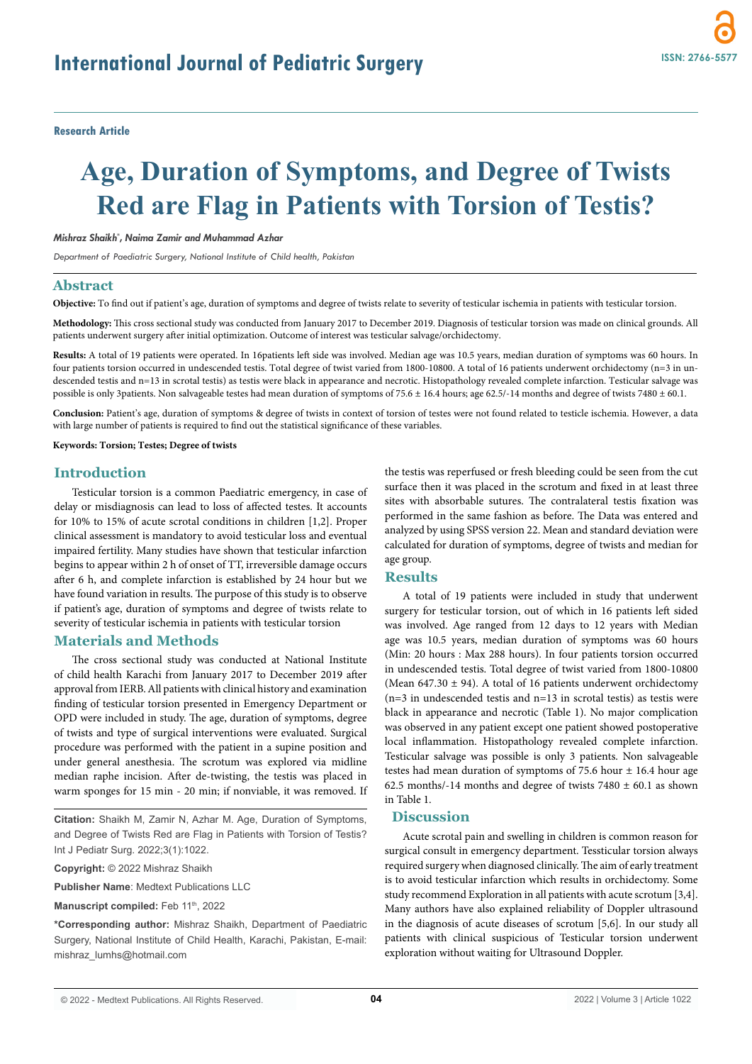# **Age, Duration of Symptoms, and Degree of Twists Red are Flag in Patients with Torsion of Testis?**

#### *Mishraz Shaikh\* , Naima Zamir and Muhammad Azhar*

*Department of Paediatric Surgery, National Institute of Child health, Pakistan*

#### **Abstract**

**Objective:** To find out if patient's age, duration of symptoms and degree of twists relate to severity of testicular ischemia in patients with testicular torsion.

**Methodology:** This cross sectional study was conducted from January 2017 to December 2019. Diagnosis of testicular torsion was made on clinical grounds. All patients underwent surgery after initial optimization. Outcome of interest was testicular salvage/orchidectomy.

**Results:** A total of 19 patients were operated. In 16patients left side was involved. Median age was 10.5 years, median duration of symptoms was 60 hours. In four patients torsion occurred in undescended testis. Total degree of twist varied from 1800-10800. A total of 16 patients underwent orchidectomy (n=3 in undescended testis and n=13 in scrotal testis) as testis were black in appearance and necrotic. Histopathology revealed complete infarction. Testicular salvage was possible is only 3patients. Non salvageable testes had mean duration of symptoms of 75.6 ± 16.4 hours; age 62.5/-14 months and degree of twists 7480 ± 60.1.

**Conclusion:** Patient's age, duration of symptoms & degree of twists in context of torsion of testes were not found related to testicle ischemia. However, a data with large number of patients is required to find out the statistical significance of these variables.

#### **Keywords: Torsion; Testes; Degree of twists**

## **Introduction**

Testicular torsion is a common Paediatric emergency, in case of delay or misdiagnosis can lead to loss of affected testes. It accounts for 10% to 15% of acute scrotal conditions in children [1,2]. Proper clinical assessment is mandatory to avoid testicular loss and eventual impaired fertility. Many studies have shown that testicular infarction begins to appear within 2 h of onset of TT, irreversible damage occurs after 6 h, and complete infarction is established by 24 hour but we have found variation in results. The purpose of this study is to observe if patient's age, duration of symptoms and degree of twists relate to severity of testicular ischemia in patients with testicular torsion

# **Materials and Methods**

The cross sectional study was conducted at National Institute of child health Karachi from January 2017 to December 2019 after approval from IERB. All patients with clinical history and examination finding of testicular torsion presented in Emergency Department or OPD were included in study. The age, duration of symptoms, degree of twists and type of surgical interventions were evaluated. Surgical procedure was performed with the patient in a supine position and under general anesthesia. The scrotum was explored via midline median raphe incision. After de-twisting, the testis was placed in warm sponges for 15 min - 20 min; if nonviable, it was removed. If

**Citation:** Shaikh M, Zamir N, Azhar M. Age, Duration of Symptoms, and Degree of Twists Red are Flag in Patients with Torsion of Testis? Int J Pediatr Surg. 2022;3(1):1022.

**Copyright:** © 2022 Mishraz Shaikh

**Publisher Name**: Medtext Publications LLC

Manuscript compiled: Feb 11<sup>th</sup>, 2022

**\*Corresponding author:** Mishraz Shaikh, Department of Paediatric Surgery, National Institute of Child Health, Karachi, Pakistan, E-mail: mishraz\_lumhs@hotmail.com

the testis was reperfused or fresh bleeding could be seen from the cut surface then it was placed in the scrotum and fixed in at least three sites with absorbable sutures. The contralateral testis fixation was performed in the same fashion as before. The Data was entered and analyzed by using SPSS version 22. Mean and standard deviation were calculated for duration of symptoms, degree of twists and median for age group.

### **Results**

A total of 19 patients were included in study that underwent surgery for testicular torsion, out of which in 16 patients left sided was involved. Age ranged from 12 days to 12 years with Median age was 10.5 years, median duration of symptoms was 60 hours (Min: 20 hours : Max 288 hours). In four patients torsion occurred in undescended testis. Total degree of twist varied from 1800-10800 (Mean 647.30  $\pm$  94). A total of 16 patients underwent orchidectomy (n=3 in undescended testis and n=13 in scrotal testis) as testis were black in appearance and necrotic (Table 1). No major complication was observed in any patient except one patient showed postoperative local inflammation. Histopathology revealed complete infarction. Testicular salvage was possible is only 3 patients. Non salvageable testes had mean duration of symptoms of 75.6 hour  $\pm$  16.4 hour age 62.5 months/-14 months and degree of twists  $7480 \pm 60.1$  as shown in Table 1.

## **Discussion**

Acute scrotal pain and swelling in children is common reason for surgical consult in emergency department. Tessticular torsion always required surgery when diagnosed clinically. The aim of early treatment is to avoid testicular infarction which results in orchidectomy. Some study recommend Exploration in all patients with acute scrotum [3,4]. Many authors have also explained reliability of Doppler ultrasound in the diagnosis of acute diseases of scrotum [5,6]. In our study all patients with clinical suspicious of Testicular torsion underwent exploration without waiting for Ultrasound Doppler.